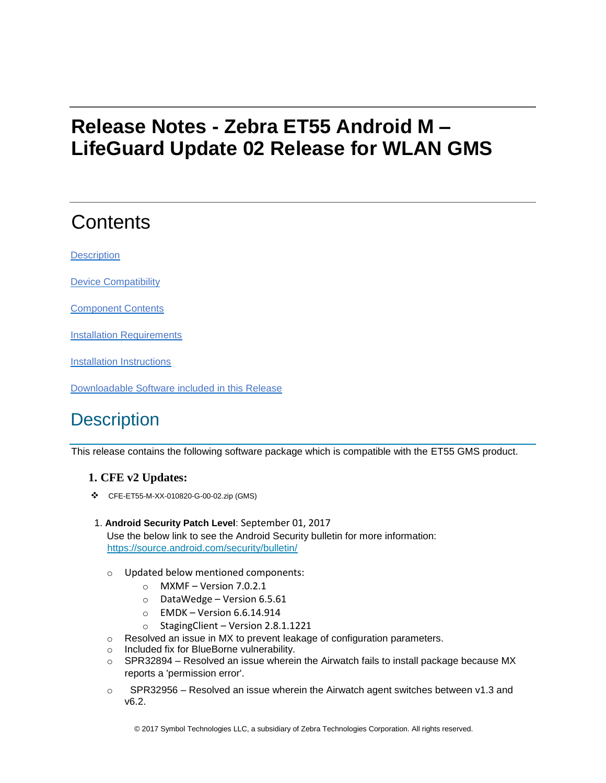# **Release Notes - Zebra ET55 Android M – LifeGuard Update 02 Release for WLAN GMS**

# **Contents**

**[Description](#page-0-0)** 

[Device Compatibility](#page-1-0)

[Component Contents](#page-1-1)

[Installation Requirements](#page-2-0)

[Installation Instructions](#page-2-1)

[Downloadable Software included in this Release](#page-3-0)

# <span id="page-0-0"></span>**Description**

This release contains the following software package which is compatible with the ET55 GMS product.

#### **1. CFE v2 Updates:**

- ❖ CFE-ET55-M-XX-010820-G-00-02.zip (GMS)
- 1. **Android Security Patch Level**: September 01, 2017

Use the below link to see the Android Security bulletin for more information: <https://source.android.com/security/bulletin/>

- o Updated below mentioned components:
	- $\circ$  MXMF Version 7.0.2.1
	- o DataWedge Version 6.5.61
	- $\circ$  EMDK Version 6.6.14.914
	- o StagingClient Version 2.8.1.1221
- o Resolved an issue in MX to prevent leakage of configuration parameters.
- o Included fix for BlueBorne vulnerability.
- $\circ$  SPR32894 Resolved an issue wherein the Airwatch fails to install package because MX reports a 'permission error'.
- $\circ$  SPR32956 Resolved an issue wherein the Airwatch agent switches between v1.3 and v6.2.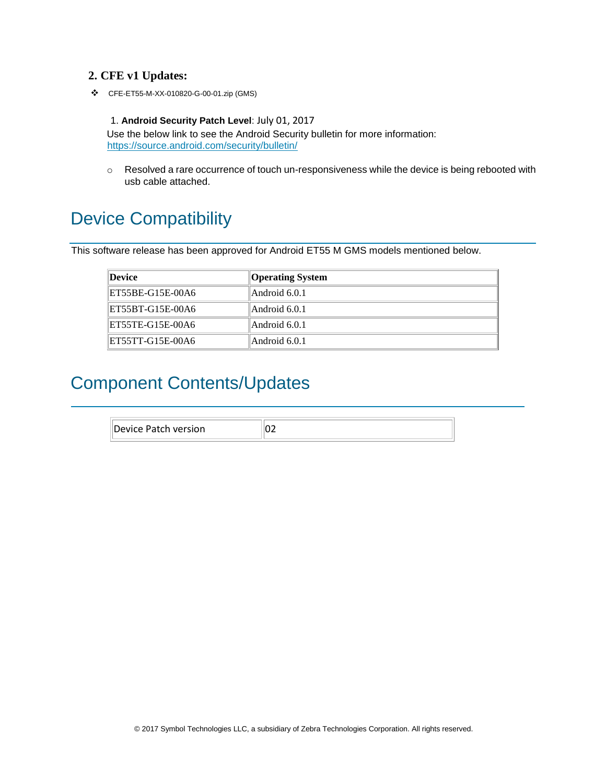#### **2. CFE v1 Updates:**

❖ CFE-ET55-M-XX-010820-G-00-01.zip (GMS)

#### 1. **Android Security Patch Level**: July 01, 2017

Use the below link to see the Android Security bulletin for more information: <https://source.android.com/security/bulletin/>

 $\circ$  Resolved a rare occurrence of touch un-responsiveness while the device is being rebooted with usb cable attached.

## <span id="page-1-0"></span>Device Compatibility

This software release has been approved for Android ET55 M GMS models mentioned below.

| <i><b>Device</b></i> | <b>Operating System</b> |
|----------------------|-------------------------|
| ET55BE-G15E-00A6     | Android 6.0.1           |
| ET55BT-G15E-00A6     | Android 6.0.1           |
| ET55TE-G15E-00A6     | Android 6.0.1           |
| ET55TT-G15E-00A6     | Android 6.0.1           |

#### <span id="page-1-1"></span>Component Contents/Updates

| .   |  |
|-----|--|
| . . |  |
|     |  |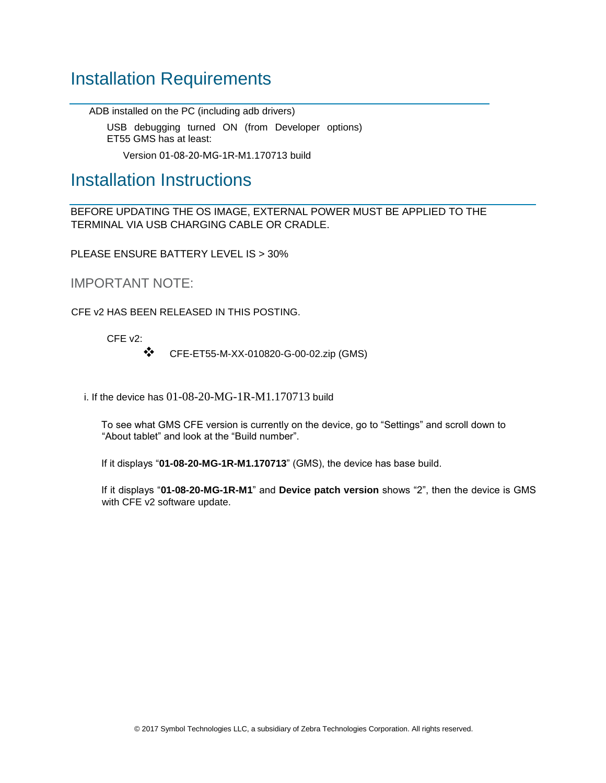### <span id="page-2-0"></span>Installation Requirements

ADB installed on the PC (including adb drivers)

USB debugging turned ON (from Developer options) ET55 GMS has at least:

Version 01-08-20-MG-1R-M1.170713 build

#### <span id="page-2-1"></span>Installation Instructions

BEFORE UPDATING THE OS IMAGE, EXTERNAL POWER MUST BE APPLIED TO THE TERMINAL VIA USB CHARGING CABLE OR CRADLE.

PLEASE ENSURE BATTERY LEVEL IS > 30%

IMPORTANT NOTE:

CFE v2 HAS BEEN RELEASED IN THIS POSTING.

CFE v2:

❖ CFE-ET55-M-XX-010820-G-00-02.zip (GMS)

i. If the device has 01-08-20-MG-1R-M1.170713 build

To see what GMS CFE version is currently on the device, go to "Settings" and scroll down to "About tablet" and look at the "Build number".

If it displays "**01-08-20-MG-1R-M1.170713**" (GMS), the device has base build.

If it displays "**01-08-20-MG-1R-M1**" and **Device patch version** shows "2", then the device is GMS with CFE v2 software update.